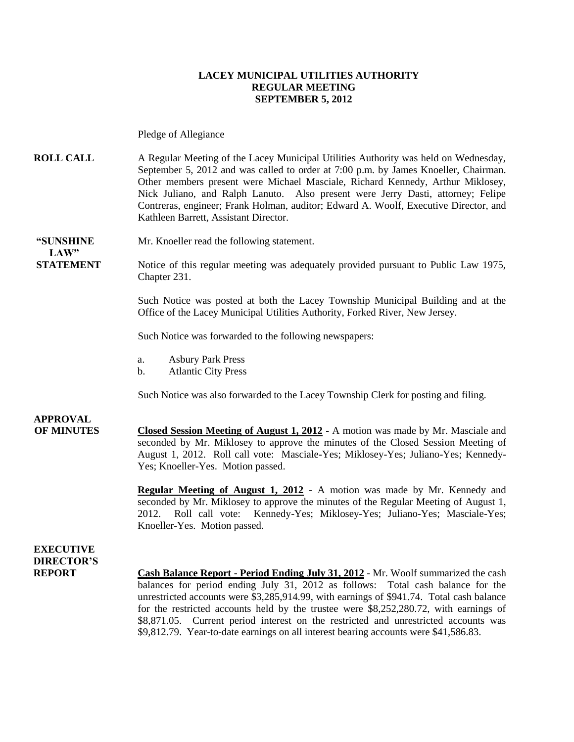### **LACEY MUNICIPAL UTILITIES AUTHORITY REGULAR MEETING SEPTEMBER 5, 2012**

Pledge of Allegiance

**ROLL CALL** A Regular Meeting of the Lacey Municipal Utilities Authority was held on Wednesday, September 5, 2012 and was called to order at 7:00 p.m. by James Knoeller, Chairman. Other members present were Michael Masciale, Richard Kennedy, Arthur Miklosey, Nick Juliano, and Ralph Lanuto. Also present were Jerry Dasti, attorney; Felipe Contreras, engineer; Frank Holman, auditor; Edward A. Woolf, Executive Director, and Kathleen Barrett, Assistant Director.

**"SUNSHINE** Mr. Knoeller read the following statement.  $LAW"$ 

**STATEMENT** Notice of this regular meeting was adequately provided pursuant to Public Law 1975, Chapter 231.

> Such Notice was posted at both the Lacey Township Municipal Building and at the Office of the Lacey Municipal Utilities Authority, Forked River, New Jersey.

Such Notice was forwarded to the following newspapers:

- a. Asbury Park Press
- b. Atlantic City Press

Such Notice was also forwarded to the Lacey Township Clerk for posting and filing.

# **APPROVAL**

**OF MINUTES Closed Session Meeting of August 1, 2012 -** A motion was made by Mr. Masciale and seconded by Mr. Miklosey to approve the minutes of the Closed Session Meeting of August 1, 2012. Roll call vote: Masciale-Yes; Miklosey-Yes; Juliano-Yes; Kennedy-Yes; Knoeller-Yes. Motion passed.

> **Regular Meeting of August 1, 2012 -** A motion was made by Mr. Kennedy and seconded by Mr. Miklosey to approve the minutes of the Regular Meeting of August 1, 2012. Roll call vote: Kennedy-Yes; Miklosey-Yes; Juliano-Yes; Masciale-Yes; Knoeller-Yes. Motion passed.

**EXECUTIVE DIRECTOR'S**

**REPORT Cash Balance Report - Period Ending July 31, 2012** - Mr. Woolf summarized the cash balances for period ending July 31, 2012 as follows: Total cash balance for the unrestricted accounts were \$3,285,914.99, with earnings of \$941.74. Total cash balance for the restricted accounts held by the trustee were \$8,252,280.72, with earnings of \$8,871.05. Current period interest on the restricted and unrestricted accounts was \$9,812.79. Year-to-date earnings on all interest bearing accounts were \$41,586.83.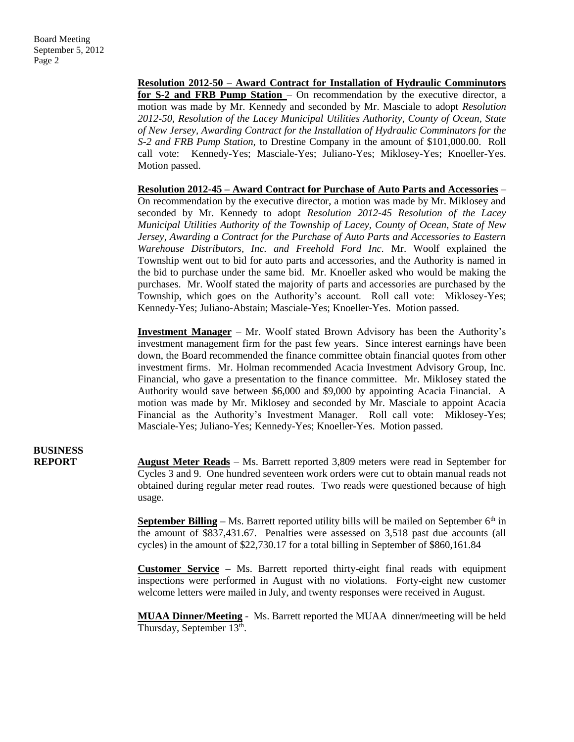**Resolution 2012-50 – Award Contract for Installation of Hydraulic Comminutors for S-2 and FRB Pump Station** – On recommendation by the executive director, a motion was made by Mr. Kennedy and seconded by Mr. Masciale to adopt *Resolution 2012-50, Resolution of the Lacey Municipal Utilities Authority, County of Ocean, State of New Jersey, Awarding Contract for the Installation of Hydraulic Comminutors for the S-2 and FRB Pump Station,* to Drestine Company in the amount of \$101,000.00. Roll call vote: Kennedy-Yes; Masciale-Yes; Juliano-Yes; Miklosey-Yes; Knoeller-Yes. Motion passed.

**Resolution 2012-45 – Award Contract for Purchase of Auto Parts and Accessories** – On recommendation by the executive director, a motion was made by Mr. Miklosey and seconded by Mr. Kennedy to adopt *Resolution 2012-45 Resolution of the Lacey Municipal Utilities Authority of the Township of Lacey, County of Ocean, State of New Jersey, Awarding a Contract for the Purchase of Auto Parts and Accessories to Eastern Warehouse Distributors, Inc. and Freehold Ford Inc.* Mr. Woolf explained the Township went out to bid for auto parts and accessories, and the Authority is named in the bid to purchase under the same bid. Mr. Knoeller asked who would be making the purchases. Mr. Woolf stated the majority of parts and accessories are purchased by the Township, which goes on the Authority's account. Roll call vote: Miklosey-Yes; Kennedy-Yes; Juliano-Abstain; Masciale-Yes; Knoeller-Yes. Motion passed.

**Investment Manager** – Mr. Woolf stated Brown Advisory has been the Authority's investment management firm for the past few years. Since interest earnings have been down, the Board recommended the finance committee obtain financial quotes from other investment firms. Mr. Holman recommended Acacia Investment Advisory Group, Inc. Financial, who gave a presentation to the finance committee. Mr. Miklosey stated the Authority would save between \$6,000 and \$9,000 by appointing Acacia Financial. A motion was made by Mr. Miklosey and seconded by Mr. Masciale to appoint Acacia Financial as the Authority's Investment Manager. Roll call vote: Miklosey-Yes; Masciale-Yes; Juliano-Yes; Kennedy-Yes; Knoeller-Yes. Motion passed.

# **BUSINESS**

**REPORT August Meter Reads** – Ms. Barrett reported 3,809 meters were read in September for Cycles 3 and 9. One hundred seventeen work orders were cut to obtain manual reads not obtained during regular meter read routes. Two reads were questioned because of high usage.

> **September Billing** – Ms. Barrett reported utility bills will be mailed on September 6<sup>th</sup> in the amount of \$837,431.67. Penalties were assessed on 3,518 past due accounts (all cycles) in the amount of \$22,730.17 for a total billing in September of \$860,161.84

> **Customer Service –** Ms. Barrett reported thirty-eight final reads with equipment inspections were performed in August with no violations. Forty-eight new customer welcome letters were mailed in July, and twenty responses were received in August.

> **MUAA Dinner/Meeting** - Ms. Barrett reported the MUAA dinner/meeting will be held Thursday, September 13<sup>th</sup>.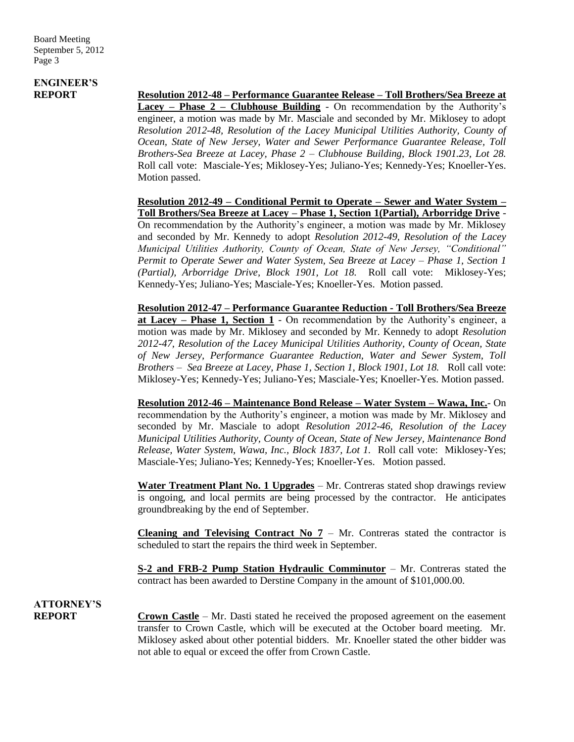# **ENGINEER'S**

**REPORT Resolution 2012-48 – Performance Guarantee Release – Toll Brothers/Sea Breeze at Lacey – Phase 2 – Clubhouse Building** - On recommendation by the Authority's engineer, a motion was made by Mr. Masciale and seconded by Mr. Miklosey to adopt *Resolution 2012-48, Resolution of the Lacey Municipal Utilities Authority, County of Ocean, State of New Jersey, Water and Sewer Performance Guarantee Release, Toll Brothers-Sea Breeze at Lacey, Phase 2 – Clubhouse Building, Block 1901.23, Lot 28.*  Roll call vote: Masciale-Yes; Miklosey-Yes; Juliano-Yes; Kennedy-Yes; Knoeller-Yes. Motion passed.

> **Resolution 2012-49 – Conditional Permit to Operate – Sewer and Water System – Toll Brothers/Sea Breeze at Lacey – Phase 1, Section 1(Partial), Arborridge Drive** - On recommendation by the Authority's engineer, a motion was made by Mr. Miklosey and seconded by Mr. Kennedy to adopt *Resolution 2012-49, Resolution of the Lacey Municipal Utilities Authority, County of Ocean, State of New Jersey, "Conditional" Permit to Operate Sewer and Water System, Sea Breeze at Lacey – Phase 1, Section 1 (Partial), Arborridge Drive, Block 1901, Lot 18.* Roll call vote: Miklosey-Yes; Kennedy-Yes; Juliano-Yes; Masciale-Yes; Knoeller-Yes. Motion passed.

> **Resolution 2012-47 – Performance Guarantee Reduction - Toll Brothers/Sea Breeze at Lacey – Phase 1, Section 1** - On recommendation by the Authority's engineer, a motion was made by Mr. Miklosey and seconded by Mr. Kennedy to adopt *Resolution 2012-47, Resolution of the Lacey Municipal Utilities Authority, County of Ocean, State of New Jersey, Performance Guarantee Reduction, Water and Sewer System, Toll Brothers – Sea Breeze at Lacey, Phase 1, Section 1, Block 1901, Lot 18.* Roll call vote: Miklosey-Yes; Kennedy-Yes; Juliano-Yes; Masciale-Yes; Knoeller-Yes. Motion passed.

> **Resolution 2012-46 – Maintenance Bond Release – Water System – Wawa, Inc.**- On recommendation by the Authority's engineer, a motion was made by Mr. Miklosey and seconded by Mr. Masciale to adopt *Resolution 2012-46, Resolution of the Lacey Municipal Utilities Authority, County of Ocean, State of New Jersey, Maintenance Bond Release, Water System, Wawa, Inc., Block 1837, Lot 1.* Roll call vote: Miklosey-Yes; Masciale-Yes; Juliano-Yes; Kennedy-Yes; Knoeller-Yes. Motion passed.

> **Water Treatment Plant No. 1 Upgrades** – Mr. Contreras stated shop drawings review is ongoing, and local permits are being processed by the contractor. He anticipates groundbreaking by the end of September.

> **Cleaning and Televising Contract No**  $7 - Mr$ **.** Contreras stated the contractor is scheduled to start the repairs the third week in September.

> **S-2 and FRB-2 Pump Station Hydraulic Comminutor** – Mr. Contreras stated the contract has been awarded to Derstine Company in the amount of \$101,000.00.

**ATTORNEY'S**

**REPORT Crown Castle** – Mr. Dasti stated he received the proposed agreement on the easement transfer to Crown Castle, which will be executed at the October board meeting. Mr. Miklosey asked about other potential bidders. Mr. Knoeller stated the other bidder was not able to equal or exceed the offer from Crown Castle.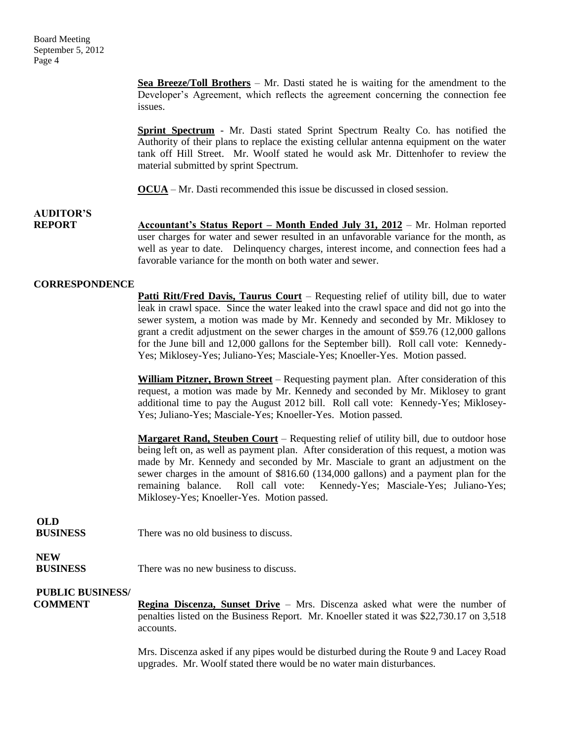**Sea Breeze/Toll Brothers** – Mr. Dasti stated he is waiting for the amendment to the Developer's Agreement, which reflects the agreement concerning the connection fee issues.

**Sprint Spectrum** - Mr. Dasti stated Sprint Spectrum Realty Co. has notified the Authority of their plans to replace the existing cellular antenna equipment on the water tank off Hill Street. Mr. Woolf stated he would ask Mr. Dittenhofer to review the material submitted by sprint Spectrum.

**OCUA** – Mr. Dasti recommended this issue be discussed in closed session.

**AUDITOR'S REPORT Accountant's Status Report – Month Ended July 31, 2012** – Mr. Holman reported user charges for water and sewer resulted in an unfavorable variance for the month, as well as year to date. Delinquency charges, interest income, and connection fees had a favorable variance for the month on both water and sewer.

#### **CORRESPONDENCE**

**Patti Ritt/Fred Davis, Taurus Court** – Requesting relief of utility bill, due to water leak in crawl space. Since the water leaked into the crawl space and did not go into the sewer system, a motion was made by Mr. Kennedy and seconded by Mr. Miklosey to grant a credit adjustment on the sewer charges in the amount of \$59.76 (12,000 gallons for the June bill and 12,000 gallons for the September bill). Roll call vote: Kennedy-Yes; Miklosey-Yes; Juliano-Yes; Masciale-Yes; Knoeller-Yes. Motion passed.

**William Pitzner, Brown Street** – Requesting payment plan. After consideration of this request, a motion was made by Mr. Kennedy and seconded by Mr. Miklosey to grant additional time to pay the August 2012 bill. Roll call vote: Kennedy-Yes; Miklosey-Yes; Juliano-Yes; Masciale-Yes; Knoeller-Yes. Motion passed.

**Margaret Rand, Steuben Court** – Requesting relief of utility bill, due to outdoor hose being left on, as well as payment plan. After consideration of this request, a motion was made by Mr. Kennedy and seconded by Mr. Masciale to grant an adjustment on the sewer charges in the amount of \$816.60 (134,000 gallons) and a payment plan for the remaining balance. Roll call vote: Kennedy-Yes; Masciale-Yes; Juliano-Yes; Miklosey-Yes; Knoeller-Yes. Motion passed.

### **OLD**

**BUSINESS** There was no old business to discuss.

# **NEW**

**BUSINESS** There was no new business to discuss.

## **PUBLIC BUSINESS/**

**COMMENT Regina Discenza, Sunset Drive** – Mrs. Discenza asked what were the number of penalties listed on the Business Report. Mr. Knoeller stated it was \$22,730.17 on 3,518 accounts.

> Mrs. Discenza asked if any pipes would be disturbed during the Route 9 and Lacey Road upgrades. Mr. Woolf stated there would be no water main disturbances.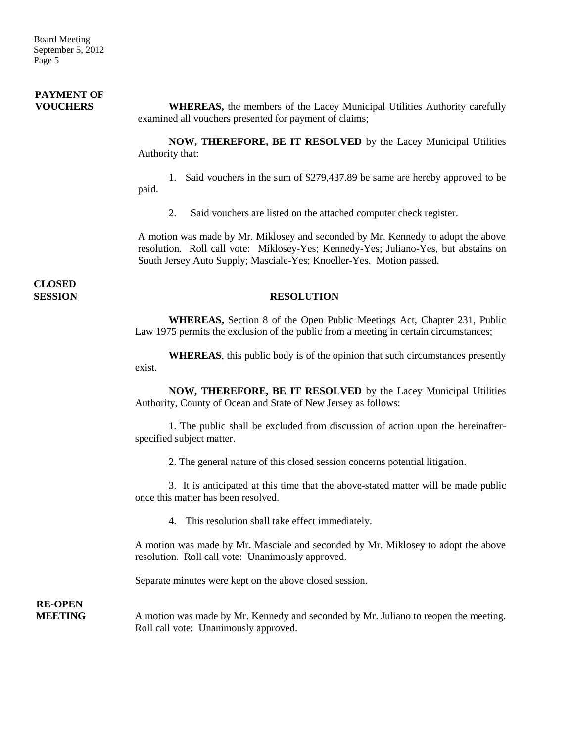### **PAYMENT OF FOUCHERS** WHEREAS, the members of the Lacey Municipal Utilities Authority carefully examined all vouchers presented for payment of claims;

**NOW, THEREFORE, BE IT RESOLVED** by the Lacey Municipal Utilities Authority that:

1. Said vouchers in the sum of \$279,437.89 be same are hereby approved to be paid.

2. Said vouchers are listed on the attached computer check register.

A motion was made by Mr. Miklosey and seconded by Mr. Kennedy to adopt the above resolution. Roll call vote: Miklosey-Yes; Kennedy-Yes; Juliano-Yes, but abstains on South Jersey Auto Supply; Masciale-Yes; Knoeller-Yes. Motion passed.

**CLOSED** 

#### **SESSION RESOLUTION**

**WHEREAS,** Section 8 of the Open Public Meetings Act, Chapter 231, Public Law 1975 permits the exclusion of the public from a meeting in certain circumstances;

**WHEREAS**, this public body is of the opinion that such circumstances presently exist.

**NOW, THEREFORE, BE IT RESOLVED** by the Lacey Municipal Utilities Authority, County of Ocean and State of New Jersey as follows:

1. The public shall be excluded from discussion of action upon the hereinafterspecified subject matter.

2. The general nature of this closed session concerns potential litigation.

3. It is anticipated at this time that the above-stated matter will be made public once this matter has been resolved.

4. This resolution shall take effect immediately.

A motion was made by Mr. Masciale and seconded by Mr. Miklosey to adopt the above resolution. Roll call vote: Unanimously approved.

Separate minutes were kept on the above closed session.

**RE-OPEN**

**MEETING** A motion was made by Mr. Kennedy and seconded by Mr. Juliano to reopen the meeting. Roll call vote: Unanimously approved.